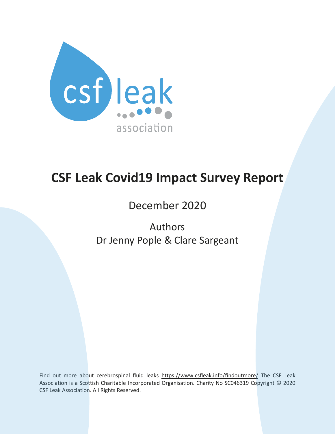

# **CSF Leak Covid19 Impact Survey Report**

December 2020

Authors Dr Jenny Pople & Clare Sargeant

Find out more about cerebrospinal fluid leaks <https://www.csfleak.info/findoutmore/> The CSF Leak Association is a Scottish Charitable Incorporated Organisation. Charity No SC046319 Copyright © 2020 CSF Leak Association. All Rights Reserved.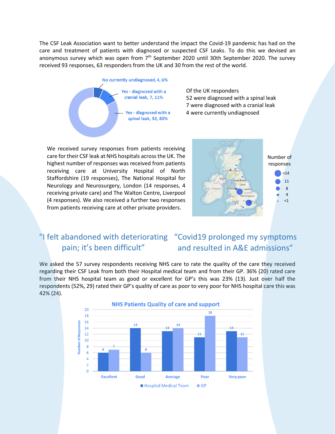The CSF Leak Association want to better understand the impact the Covid-19 pandemic has had on the care and treatment of patients with diagnosed or suspected CSF Leaks. To do this we devised an anonymous survey which was open from  $7<sup>th</sup>$  September 2020 until 30th September 2020. The survey received 93 responses, 63 responders from the UK and 30 from the rest of the world.



Of the UK responders were diagnosed with a spinal leak were diagnosed with a cranial leak were currently undiagnosed

We received survey responses from patients receiving care for their CSF leak at NHS hospitals across the UK. The highest number of responses was received from patients receiving care at University Hospital of North Staffordshire (19 responses), The National Hospital for Neurology and Neurosurgery, London (14 responses, 4 receiving private care) and The Walton Centre, Liverpool (4 responses). We also received a further two responses from patients receiving care at other private providers.



#### "I felt abandoned with deteriorating "Covid19 prolonged my symptoms and resulted in A&E admissions" pain; it's been difficult"

We asked the 57 survey respondents receiving NHS care to rate the quality of the care they received regarding their CSF Leak from both their Hospital medical team and from their GP. 36% (20) rated care from their NHS hospital team as good or excellent for GP's this was 23% (13). Just over half the respondents (52%, 29) rated their GP's quality of care as poor to very poor for NHS hospital care this was 42% (24).

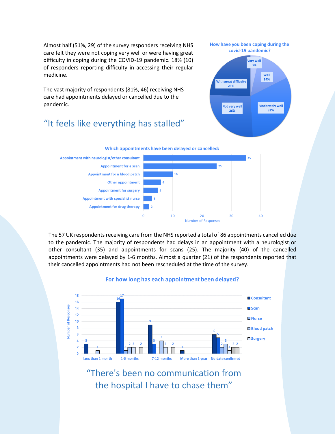Almost half (51%, 29) of the survey responders receiving NHS care felt they were not coping very well or were having great difficulty in coping during the COVID-19 pandemic. 18% (10) of responders reporting difficulty in accessing their regular medicine.

The vast majority of respondents (81%, 46) receiving NHS care had appointments delayed or cancelled due to the pandemic.

### "It feels like everything has stalled"



Not very wel

26%

Moderately well

32%





The 57 UK respondents receiving care from the NHS reported a total of 86 appointments cancelled due to the pandemic. The majority of respondents had delays in an appointment with a neurologist or other consultant (35) and appointments for scans (25). The majority (40) of the cancelled appointments were delayed by 1-6 months. Almost a quarter (21) of the respondents reported that their cancelled appointments had not been rescheduled at the time of the survey.



#### For how long has each appointment been delayed?

## "There's been no communication from the hospital I have to chase them"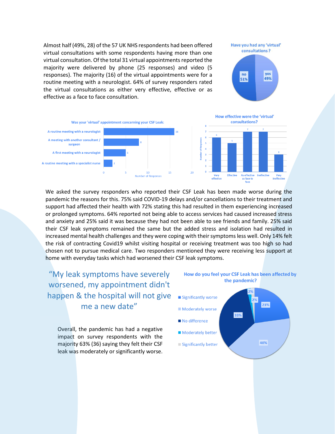Almost half (49%, 28) of the 57 UK NHS respondents had been offered virtual consultations with some respondents having more than one virtual consultation. Of the total 31 virtual appointments reported the majority were delivered by phone (25 responses) and video (5 responses). The majority (16) of the virtual appointments were for a routine meeting with a neurologist. 64% of survey responders rated the virtual consultations as either very effective, effective or as effective as a face to face consultation.





We asked the survey responders who reported their CSF Leak has been made worse during the pandemic the reasons for this. 75% said COVID-19 delays and/or cancellations to their treatment and support had affected their health with 72% stating this had resulted in them experiencing increased or prolonged symptoms. 64% reported not being able to access services had caused increased stress and anxiety and 25% said it was because they had not been able to see friends and family. 25% said their CSF leak symptoms remained the same but the added stress and isolation had resulted in increased mental health challenges and they were coping with their symptoms less well. Only 14% felt the risk of contracting Covid19 whilst visiting hospital or receiving treatment was too high so had chosen not to pursue medical care. Two responders mentioned they were receiving less support at home with everyday tasks which had worsened their CSF leak symptoms.

"My leak symptoms have severely worsened, my appointment didn't happen & the hospital will not give me a new date"

Overall, the pandemic has had a negative impact on survey respondents with the majority 63% (36) saying they felt their CSF leak was moderately or significantly worse.



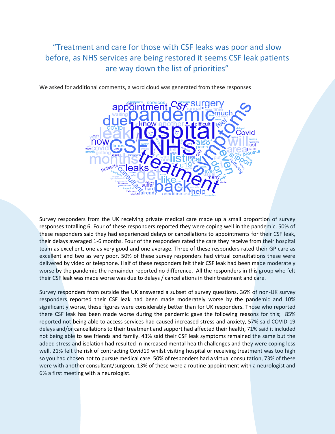### "Treatment and care for those with CSF leaks was poor and slow before, as NHS services are being restored it seems CSF leak patients are way down the list of priorities"

We asked for additional comments, a word cloud was generated from these responses



Survey responders from the UK receiving private medical care made up a small proportion of survey responses totalling 6. Four of these responders reported they were coping well in the pandemic. 50% of these responders said they had experienced delays or cancellations to appointments for their CSF leak, their delays averaged 1-6 months. Four of the responders rated the care they receive from their hospital team as excellent, one as very good and one average. Three of these responders rated their GP care as excellent and two as very poor. 50% of these survey responders had virtual consultations these were delivered by video or telephone. Half of these responders felt their CSF leak had been made moderately worse by the pandemic the remainder reported no difference. All the responders in this group who felt their CSF leak was made worse was due to delays / cancellations in their treatment and care.

Survey responders from outside the UK answered a subset of survey questions. 36% of non-UK survey responders reported their CSF leak had been made moderately worse by the pandemic and 10% significantly worse, these figures were considerably better than for UK responders. Those who reported there CSF leak has been made worse during the pandemic gave the following reasons for this; 85% reported not being able to access services had caused increased stress and anxiety, 57% said COVID-19 delays and/or cancellations to their treatment and support had affected their health, 71% said it included not being able to see friends and family. 43% said their CSF leak symptoms remained the same but the added stress and isolation had resulted in increased mental health challenges and they were coping less well. 21% felt the risk of contracting Covid19 whilst visiting hospital or receiving treatment was too high so you had chosen not to pursue medical care. 50% of responders had a virtual consultation, 73% of these were with another consultant/surgeon, 13% of these were a routine appointment with a neurologist and 6% a first meeting with a neurologist.